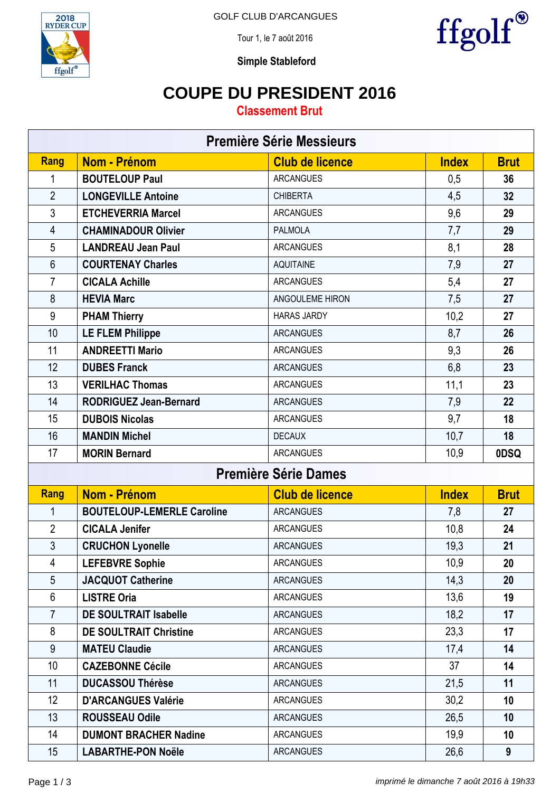



Tour 1, le 7 août 2016



**Simple Stableford**

### **COUPE DU PRESIDENT 2016**

**Classement Brut**

| <b>Première Série Messieurs</b> |                                   |                        |              |             |  |  |  |
|---------------------------------|-----------------------------------|------------------------|--------------|-------------|--|--|--|
| Rang                            | Nom - Prénom                      | <b>Club de licence</b> | <b>Index</b> | <b>Brut</b> |  |  |  |
| 1                               | <b>BOUTELOUP Paul</b>             | <b>ARCANGUES</b>       | 0,5          | 36          |  |  |  |
| $\overline{2}$                  | <b>LONGEVILLE Antoine</b>         | <b>CHIBERTA</b>        | 4,5          | 32          |  |  |  |
| 3                               | <b>ETCHEVERRIA Marcel</b>         | <b>ARCANGUES</b>       | 9,6          | 29          |  |  |  |
| $\overline{4}$                  | <b>CHAMINADOUR Olivier</b>        | <b>PALMOLA</b>         | 7,7          | 29          |  |  |  |
| 5                               | <b>LANDREAU Jean Paul</b>         | <b>ARCANGUES</b>       | 8,1          | 28          |  |  |  |
| 6                               | <b>COURTENAY Charles</b>          | <b>AQUITAINE</b>       | 7,9          | 27          |  |  |  |
| $\overline{7}$                  | <b>CICALA Achille</b>             | <b>ARCANGUES</b>       | 5,4          | 27          |  |  |  |
| 8                               | <b>HEVIA Marc</b>                 | ANGOULEME HIRON        | 7,5          | 27          |  |  |  |
| 9                               | <b>PHAM Thierry</b>               | <b>HARAS JARDY</b>     | 10,2         | 27          |  |  |  |
| 10                              | <b>LE FLEM Philippe</b>           | <b>ARCANGUES</b>       | 8,7          | 26          |  |  |  |
| 11                              | <b>ANDREETTI Mario</b>            | <b>ARCANGUES</b>       | 9,3          | 26          |  |  |  |
| 12                              | <b>DUBES Franck</b>               | <b>ARCANGUES</b>       | 6,8          | 23          |  |  |  |
| 13                              | <b>VERILHAC Thomas</b>            | <b>ARCANGUES</b>       | 11,1         | 23          |  |  |  |
| 14                              | <b>RODRIGUEZ Jean-Bernard</b>     | <b>ARCANGUES</b>       | 7,9          | 22          |  |  |  |
| 15                              | <b>DUBOIS Nicolas</b>             | <b>ARCANGUES</b>       | 9,7          | 18          |  |  |  |
| 16                              | <b>MANDIN Michel</b>              | <b>DECAUX</b>          | 10,7         | 18          |  |  |  |
| 17                              | <b>MORIN Bernard</b>              | <b>ARCANGUES</b>       | 10,9         | 0DSQ        |  |  |  |
| <b>Première Série Dames</b>     |                                   |                        |              |             |  |  |  |
| Rang                            | <b>Nom - Prénom</b>               | <b>Club de licence</b> | <b>Index</b> | <b>Brut</b> |  |  |  |
| 1                               | <b>BOUTELOUP-LEMERLE Caroline</b> | <b>ARCANGUES</b>       | 7,8          | 27          |  |  |  |
| $\overline{2}$                  | <b>CICALA Jenifer</b>             | <b>ARCANGUES</b>       | 10,8         | 24          |  |  |  |
| 3                               | <b>CRUCHON Lyonelle</b>           | <b>ARCANGUES</b>       | 19,3         | 21          |  |  |  |
| 4                               | <b>LEFEBVRE Sophie</b>            | <b>ARCANGUES</b>       | 10,9         | 20          |  |  |  |
| 5                               | <b>JACQUOT Catherine</b>          | <b>ARCANGUES</b>       | 14,3         | 20          |  |  |  |
| 6                               | <b>LISTRE Oria</b>                | <b>ARCANGUES</b>       | 13,6         | 19          |  |  |  |
| $\overline{7}$                  | <b>DE SOULTRAIT Isabelle</b>      | <b>ARCANGUES</b>       | 18,2         | 17          |  |  |  |
| 8                               | <b>DE SOULTRAIT Christine</b>     | <b>ARCANGUES</b>       | 23,3         | 17          |  |  |  |
| 9                               | <b>MATEU Claudie</b>              | <b>ARCANGUES</b>       | 17,4         | 14          |  |  |  |
| 10                              | <b>CAZEBONNE Cécile</b>           | <b>ARCANGUES</b>       | 37           | 14          |  |  |  |
| 11                              | <b>DUCASSOU Thérèse</b>           | <b>ARCANGUES</b>       | 21,5         | 11          |  |  |  |
| 12                              | <b>D'ARCANGUES Valérie</b>        | <b>ARCANGUES</b>       | 30,2         | 10          |  |  |  |
| 13                              | <b>ROUSSEAU Odile</b>             | <b>ARCANGUES</b>       | 26,5         | 10          |  |  |  |
| 14                              | <b>DUMONT BRACHER Nadine</b>      | <b>ARCANGUES</b>       | 19,9         | 10          |  |  |  |
| 15                              | <b>LABARTHE-PON Noële</b>         | <b>ARCANGUES</b>       | 26,6         | 9           |  |  |  |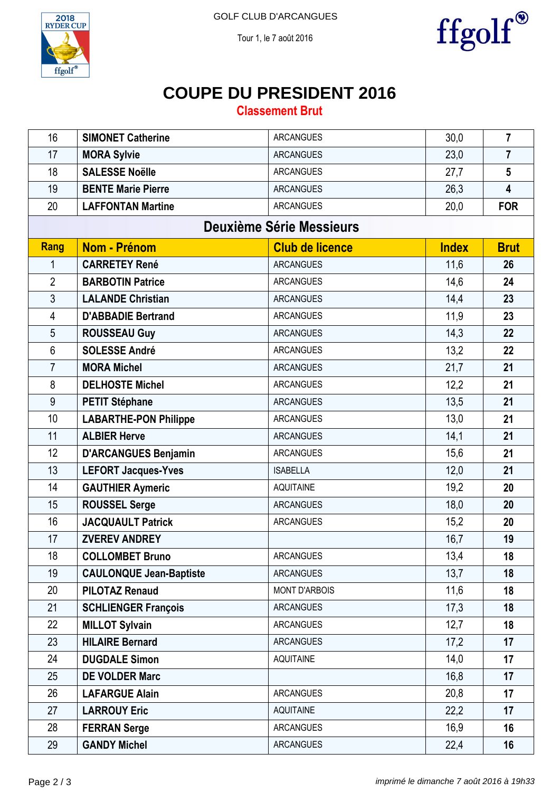



#### Tour 1, le 7 août 2016

# **COUPE DU PRESIDENT 2016**

**Classement Brut**

| 16                              | <b>SIMONET Catherine</b>       | <b>ARCANGUES</b>       | 30,0         | $\overline{7}$          |  |  |  |
|---------------------------------|--------------------------------|------------------------|--------------|-------------------------|--|--|--|
| 17                              | <b>MORA Sylvie</b>             | <b>ARCANGUES</b>       | 23,0         | $\overline{7}$          |  |  |  |
| 18                              | <b>SALESSE Noëlle</b>          | <b>ARCANGUES</b>       | 27,7         | $5\phantom{.0}$         |  |  |  |
| 19                              | <b>BENTE Marie Pierre</b>      | <b>ARCANGUES</b>       | 26,3         | $\overline{\mathbf{4}}$ |  |  |  |
| 20                              | <b>LAFFONTAN Martine</b>       | <b>ARCANGUES</b>       | 20,0         | <b>FOR</b>              |  |  |  |
| <b>Deuxième Série Messieurs</b> |                                |                        |              |                         |  |  |  |
| <b>Rang</b>                     | <b>Nom - Prénom</b>            | <b>Club de licence</b> | <b>Index</b> | <b>Brut</b>             |  |  |  |
| 1                               | <b>CARRETEY René</b>           | <b>ARCANGUES</b>       | 11,6         | 26                      |  |  |  |
| $\overline{2}$                  | <b>BARBOTIN Patrice</b>        | <b>ARCANGUES</b>       | 14,6         | 24                      |  |  |  |
| 3                               | <b>LALANDE Christian</b>       | <b>ARCANGUES</b>       | 14,4         | 23                      |  |  |  |
| 4                               | <b>D'ABBADIE Bertrand</b>      | <b>ARCANGUES</b>       | 11,9         | 23                      |  |  |  |
| 5                               | <b>ROUSSEAU Guy</b>            | <b>ARCANGUES</b>       | 14,3         | 22                      |  |  |  |
| $6\,$                           | <b>SOLESSE André</b>           | <b>ARCANGUES</b>       | 13,2         | 22                      |  |  |  |
| $\overline{7}$                  | <b>MORA Michel</b>             | <b>ARCANGUES</b>       | 21,7         | 21                      |  |  |  |
| 8                               | <b>DELHOSTE Michel</b>         | <b>ARCANGUES</b>       | 12,2         | 21                      |  |  |  |
| 9                               | <b>PETIT Stéphane</b>          | <b>ARCANGUES</b>       | 13,5         | 21                      |  |  |  |
| 10                              | <b>LABARTHE-PON Philippe</b>   | <b>ARCANGUES</b>       | 13,0         | 21                      |  |  |  |
| 11                              | <b>ALBIER Herve</b>            | <b>ARCANGUES</b>       | 14,1         | 21                      |  |  |  |
| 12                              | <b>D'ARCANGUES Benjamin</b>    | <b>ARCANGUES</b>       | 15,6         | 21                      |  |  |  |
| 13                              | <b>LEFORT Jacques-Yves</b>     | <b>ISABELLA</b>        | 12,0         | 21                      |  |  |  |
| 14                              | <b>GAUTHIER Aymeric</b>        | <b>AQUITAINE</b>       | 19,2         | 20                      |  |  |  |
| 15                              | <b>ROUSSEL Serge</b>           | <b>ARCANGUES</b>       | 18,0         | 20                      |  |  |  |
| 16                              | <b>JACQUAULT Patrick</b>       | <b>ARCANGUES</b>       | 15,2         | 20                      |  |  |  |
| 17                              | <b>ZVEREV ANDREY</b>           |                        | 16,7         | 19                      |  |  |  |
| 18                              | <b>COLLOMBET Bruno</b>         | <b>ARCANGUES</b>       | 13,4         | 18                      |  |  |  |
| 19                              | <b>CAULONQUE Jean-Baptiste</b> | <b>ARCANGUES</b>       | 13,7         | 18                      |  |  |  |
| 20                              | <b>PILOTAZ Renaud</b>          | <b>MONT D'ARBOIS</b>   | 11,6         | 18                      |  |  |  |
| 21                              | <b>SCHLIENGER François</b>     | <b>ARCANGUES</b>       | 17,3         | 18                      |  |  |  |
| 22                              | <b>MILLOT Sylvain</b>          | <b>ARCANGUES</b>       | 12,7         | 18                      |  |  |  |
| 23                              | <b>HILAIRE Bernard</b>         | <b>ARCANGUES</b>       | 17,2         | 17                      |  |  |  |
| 24                              | <b>DUGDALE Simon</b>           | <b>AQUITAINE</b>       | 14,0         | 17                      |  |  |  |
| 25                              | <b>DE VOLDER Marc</b>          |                        | 16,8         | 17                      |  |  |  |
| 26                              | <b>LAFARGUE Alain</b>          | <b>ARCANGUES</b>       | 20,8         | 17                      |  |  |  |
| 27                              | <b>LARROUY Eric</b>            | <b>AQUITAINE</b>       | 22,2         | 17                      |  |  |  |
| 28                              | <b>FERRAN Serge</b>            | <b>ARCANGUES</b>       | 16,9         | 16                      |  |  |  |
| 29                              | <b>GANDY Michel</b>            | <b>ARCANGUES</b>       | 22,4         | 16                      |  |  |  |